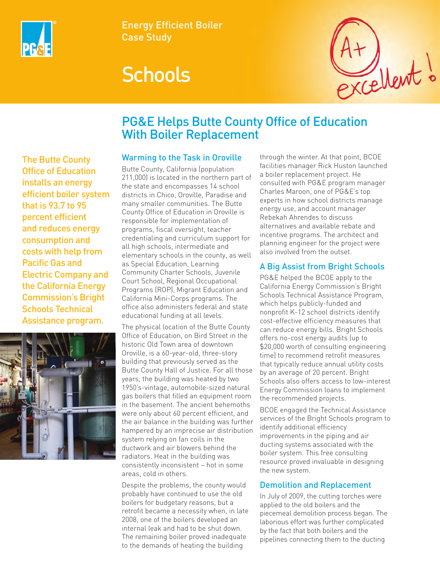

Energy Efficient Boiler Case Study

# **Schools**



## PG&E Helps Butte County Office of Education With Boiler Replacement

### The Butte County Office of Education installs an energy efficient boiler system that is 93.7 to 95 percent efficient and reduces energy consumption and costs with help from Pacific Gas and Electric Company and the California Energy Commission's Bright Schools Technical Assistance program.



#### Warming to the Task in Oroville

Butte County, California (population 211,000) is located in the northern part of the state and encompasses 14 school districts in Chico, Oroville, Paradise and many smaller communities. The Butte County Office of Education in Oroville is responsible for implementation of programs, fiscal oversight, teacher credentialing and curriculum support for all high schools, intermediate and elementary schools in the county, as well as Special Education, Learning Community Charter Schools, Juvenile Court School, Regional Occupational Programs (ROP), Migrant Education and California Mini-Corps programs. The office also administers federal and state educational funding at all levels.

The physical location of the Butte County Office of Education, on Bird Street in the historic Old Town area of downtown Oroville, is a 60-year-old, three-story building that previously served as the Butte County Hall of Justice. For all those years, the building was heated by two 1950's-vintage, automobile-sized natural gas boilers that filled an equipment room in the basement. The ancient behemoths were only about 60 percent efficient, and the air balance in the building was further hampered by an imprecise air distribution system relying on fan coils in the ductwork and air blowers behind the radiators. Heat in the building was consistently inconsistent – hot in some areas, cold in others.

Despite the problems, the county would probably have continued to use the old boilers for budgetary reasons, but a retrofit became a necessity when, in late 2008, one of the boilers developed an internal leak and had to be shut down. The remaining boiler proved inadequate to the demands of heating the building

through the winter. At that point, BCOE facilities manager Rick Huston launched a boiler replacement project. He consulted with PG&E program manager Charles Maroon, one of PG&E's top experts in how school districts manage energy use, and account manager Rebekah Ahrendes to discuss alternatives and available rebate and incentive programs. The architect and planning engineer for the project were also involved from the outset.

#### A Big Assist from Bright Schools

PG&E helped the BCOE apply to the California Energy Commission's Bright Schools Technical Assistance Program, which helps publicly-funded and nonprofit K-12 school districts identify cost-effective efficiency measures that can reduce energy bills. Bright Schools offers no-cost energy audits (up to \$20,000 worth of consulting engineering time) to recommend retrofit measures that typically reduce annual utility costs by an average of 20 percent. Bright Schools also offers access to low-interest Energy Commission loans to implement the recommended projects.

BCOE engaged the Technical Assistance services of the Bright Schools program to identify additional efficiency improvements in the piping and air ducting systems associated with the boiler system. This free consulting resource proved invaluable in designing the new system.

#### Demolition and Replacement

In July of 2009, the cutting torches were applied to the old boilers and the piecemeal demolition process began. The laborious effort was further complicated by the fact that both boilers and the pipelines connecting them to the ducting